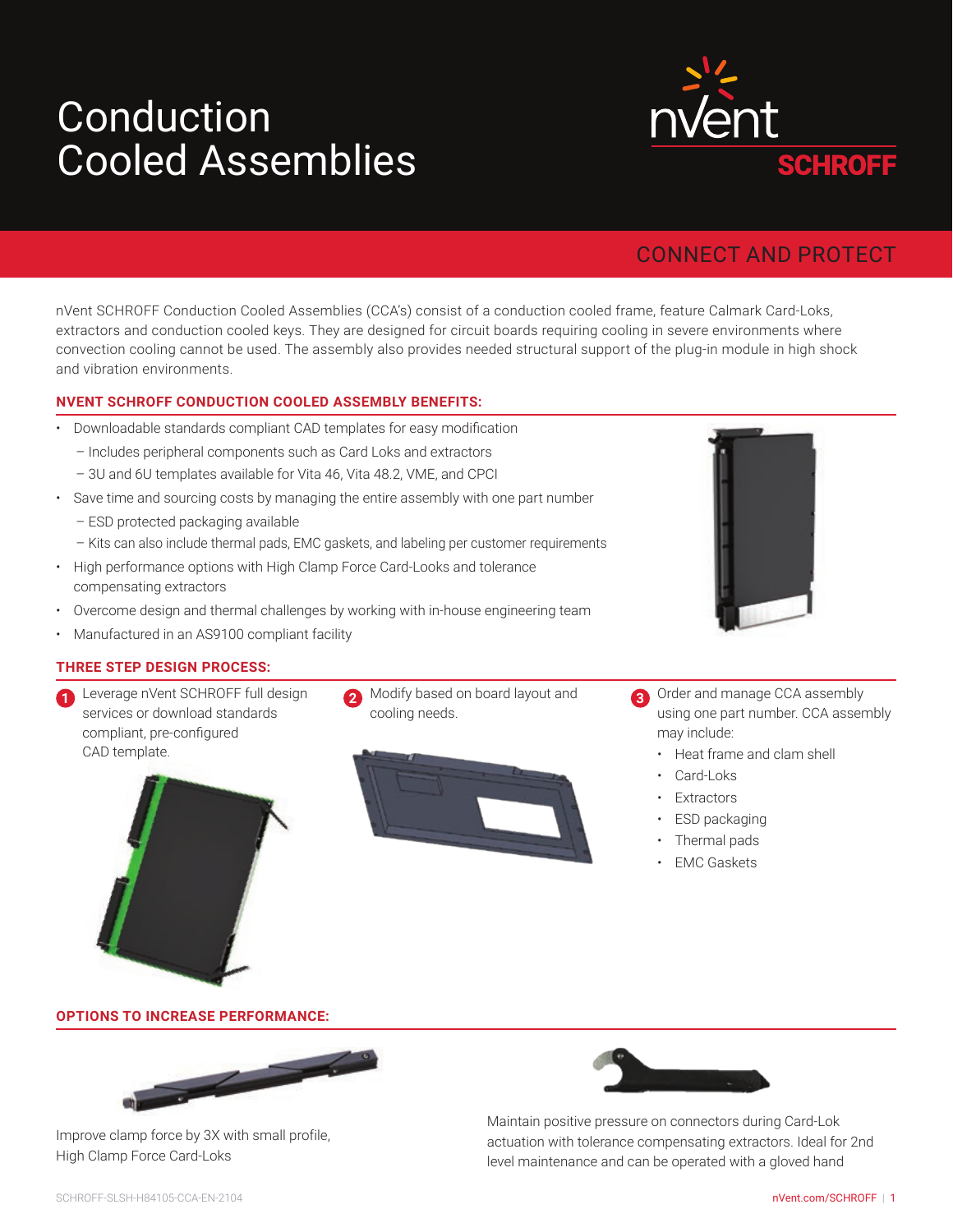# **Cooled Assemblies** Conduction



# CONNECT AND PROTECT

nVent SCHROFF Conduction Cooled Assemblies (CCA's) consist of a conduction cooled frame, feature Calmark Card-Loks, extractors and conduction cooled keys. They are designed for circuit boards requiring cooling in severe environments where convection cooling cannot be used. The assembly also provides needed structural support of the plug-in module in high shock and vibration environments.

#### **NVENT SCHROFF CONDUCTION COOLED ASSEMBLY BENEFITS:**

- Downloadable standards compliant CAD templates for easy modification
	- Includes peripheral components such as Card Loks and extractors
	- 3U and 6U templates available for Vita 46, Vita 48.2, VME, and CPCI
- Save time and sourcing costs by managing the entire assembly with one part number
	- ESD protected packaging available
	- Kits can also include thermal pads, EMC gaskets, and labeling per customer requirements
- High performance options with High Clamp Force Card-Looks and tolerance compensating extractors
- Overcome design and thermal challenges by working with in-house engineering team
- Manufactured in an AS9100 compliant facility

#### **THREE STEP DESIGN PROCESS:**

- 1 **Leverage nVent SCHROFF full design 2 Modify based on board layout and** Leverage nVent SCHROFF full design services or download standards compliant, pre-configured CAD template.
	-

cooling needs.



- Order and manage CCA assembly using one part number. CCA assembly may include:
	- Heat frame and clam shell
	- Card-Loks
	- **Extractors**
	- ESD packaging
	- Thermal pads
	- **EMC Gaskets**

#### **OPTIONS TO INCREASE PERFORMANCE:**



Improve clamp force by 3X with small profile, High Clamp Force Card-Loks



Maintain positive pressure on connectors during Card-Lok actuation with tolerance compensating extractors. Ideal for 2nd level maintenance and can be operated with a gloved hand